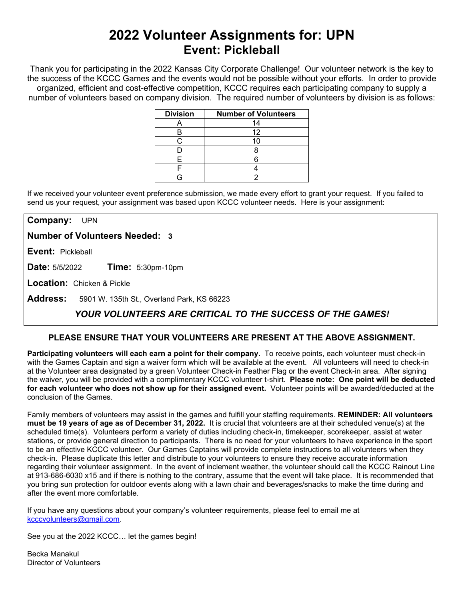# **2022 Volunteer Assignments for: UPN Event: Pickleball**

Thank you for participating in the 2022 Kansas City Corporate Challenge! Our volunteer network is the key to the success of the KCCC Games and the events would not be possible without your efforts.In order to provide organized, efficient and cost-effective competition, KCCC requires each participating company to supply a number of volunteers based on company division. The required number of volunteers by division is as follows:

| <b>Division</b> | <b>Number of Volunteers</b> |
|-----------------|-----------------------------|
|                 | 14                          |
|                 | 12                          |
|                 |                             |
|                 |                             |
|                 |                             |
|                 |                             |
|                 |                             |

If we received your volunteer event preference submission, we made every effort to grant your request. If you failed to send us your request, your assignment was based upon KCCC volunteer needs. Here is your assignment:

**Company:** UPN

**Number of Volunteers Needed: 3**

**Event:** Pickleball

**Date:** 5/5/2022 **Time:** 5:30pm-10pm

**Location:** Chicken & Pickle

**Address:** 5901 W. 135th St., Overland Park, KS 66223

## *YOUR VOLUNTEERS ARE CRITICAL TO THE SUCCESS OF THE GAMES!*

### **PLEASE ENSURE THAT YOUR VOLUNTEERS ARE PRESENT AT THE ABOVE ASSIGNMENT.**

**Participating volunteers will each earn a point for their company.** To receive points, each volunteer must check-in with the Games Captain and sign a waiver form which will be available at the event. All volunteers will need to check-in at the Volunteer area designated by a green Volunteer Check-in Feather Flag or the event Check-in area. After signing the waiver, you will be provided with a complimentary KCCC volunteer t-shirt. **Please note: One point will be deducted for each volunteer who does not show up for their assigned event.** Volunteer points will be awarded/deducted at the conclusion of the Games.

Family members of volunteers may assist in the games and fulfill your staffing requirements. **REMINDER: All volunteers must be 19 years of age as of December 31, 2022.** It is crucial that volunteers are at their scheduled venue(s) at the scheduled time(s). Volunteers perform a variety of duties including check-in, timekeeper, scorekeeper, assist at water stations, or provide general direction to participants. There is no need for your volunteers to have experience in the sport to be an effective KCCC volunteer. Our Games Captains will provide complete instructions to all volunteers when they check-in. Please duplicate this letter and distribute to your volunteers to ensure they receive accurate information regarding their volunteer assignment. In the event of inclement weather, the volunteer should call the KCCC Rainout Line at 913-686-6030 x15 and if there is nothing to the contrary, assume that the event will take place. It is recommended that you bring sun protection for outdoor events along with a lawn chair and beverages/snacks to make the time during and after the event more comfortable.

If you have any questions about your company's volunteer requirements, please feel to email me at [kcccvolunteers@gmail.com.](mailto:kcccvolunteers@gmail.com)

See you at the 2022 KCCC… let the games begin!

Becka Manakul Director of Volunteers